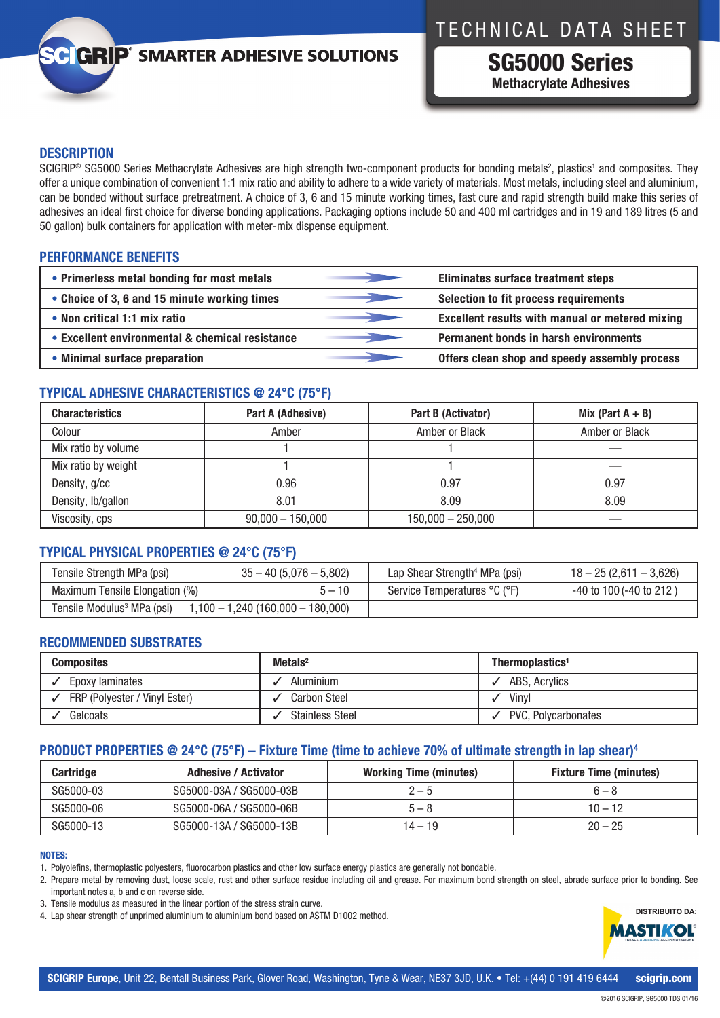# TECHNICAL DATA SHEET

# **GRIP**<sup>'</sup> SMARTER ADHESIVE SOLUTIONS

SG5000 Series **Methacrylate Adhesives**

# **DESCRIPTION**

SCIGRIP® SG5000 Series Methacrylate Adhesives are high strength two-component products for bonding metals<sup>2</sup>, plastics' and composites. They offer a unique combination of convenient 1:1 mix ratio and ability to adhere to a wide variety of materials. Most metals, including steel and aluminium, can be bonded without surface pretreatment. A choice of 3, 6 and 15 minute working times, fast cure and rapid strength build make this series of adhesives an ideal first choice for diverse bonding applications. Packaging options include 50 and 400 ml cartridges and in 19 and 189 litres (5 and 50 gallon) bulk containers for application with meter-mix dispense equipment.

# **PERFORMANCE BENEFITS**

| • Primerless metal bonding for most metals      | Eliminates surface treatment steps                     |
|-------------------------------------------------|--------------------------------------------------------|
| • Choice of 3, 6 and 15 minute working times    | Selection to fit process requirements                  |
| • Non critical 1:1 mix ratio                    | <b>Excellent results with manual or metered mixing</b> |
| • Excellent environmental & chemical resistance | <b>Permanent bonds in harsh environments</b>           |
| • Minimal surface preparation                   | Offers clean shop and speedy assembly process          |

# **TYPICAL ADHESIVE CHARACTERISTICS @ 24°C (75°F)**

| <b>Characteristics</b> | Part A (Adhesive)  | Part B (Activator)  | Mix (Part $A + B$ ) |
|------------------------|--------------------|---------------------|---------------------|
| Colour                 | Amber              | Amber or Black      | Amber or Black      |
| Mix ratio by volume    |                    |                     |                     |
| Mix ratio by weight    |                    |                     |                     |
| Density, g/cc          | 0.96               | 0.97                | 0.97                |
| Density, lb/gallon     | 8.01               | 8.09                | 8.09                |
| Viscosity, cps         | $90,000 - 150,000$ | $150,000 - 250,000$ |                     |

# **TYPICAL PHYSICAL PROPERTIES @ 24°C (75°F)**

| Tensile Strength MPa (psi)             | $35 - 40 (5,076 - 5,802)$          | Lap Shear Strength <sup>4</sup> MPa (psi) | $18 - 25(2,611 - 3,626)$     |
|----------------------------------------|------------------------------------|-------------------------------------------|------------------------------|
| Maximum Tensile Elongation (%)         | $5 - 10$                           | Service Temperatures °C (°F)              | $-40$ to 100 ( $-40$ to 212) |
| Tensile Modulus <sup>3</sup> MPa (psi) | $1,100 - 1,240(160,000 - 180,000)$ |                                           |                              |

# **RECOMMENDED SUBSTRATES**

| <b>Composites</b>             | Metals $2$             | Thermoplastics <sup>1</sup> |
|-------------------------------|------------------------|-----------------------------|
| Epoxy laminates               | Aluminium              | ABS, Acrylics               |
| FRP (Polyester / Vinyl Ester) | <b>Carbon Steel</b>    | Vinvl                       |
| Gelcoats                      | <b>Stainless Steel</b> | PVC, Polycarbonates         |

# **PRODUCT PROPERTIES @ 24°C (75°F) – Fixture Time (time to achieve 70% of ultimate strength in lap shear)4**

| <b>Cartridge</b> | <b>Adhesive / Activator</b> | <b>Working Time (minutes)</b> | <b>Fixture Time (minutes)</b> |
|------------------|-----------------------------|-------------------------------|-------------------------------|
| SG5000-03        | SG5000-03A / SG5000-03B     | $2 - 5$                       | $6 - 8$                       |
| SG5000-06        | SG5000-06A / SG5000-06B     | $5 - 8$                       | $10 - 12$                     |
| SG5000-13        | SG5000-13A / SG5000-13B     | $14 - 19$                     | $20 - 25$                     |

## **NOTES:**

2. Prepare metal by removing dust, loose scale, rust and other surface residue including oil and grease. For maximum bond strength on steel, abrade surface prior to bonding. See important notes a, b and c on reverse side.

- 3. Tensile modulus as measured in the linear portion of the stress strain curve.
- 4. Lap shear strength of unprimed aluminium to aluminium bond based on ASTM D1002 method.



<sup>1.</sup> Polyolefins, thermoplastic polyesters, fluorocarbon plastics and other low surface energy plastics are generally not bondable.